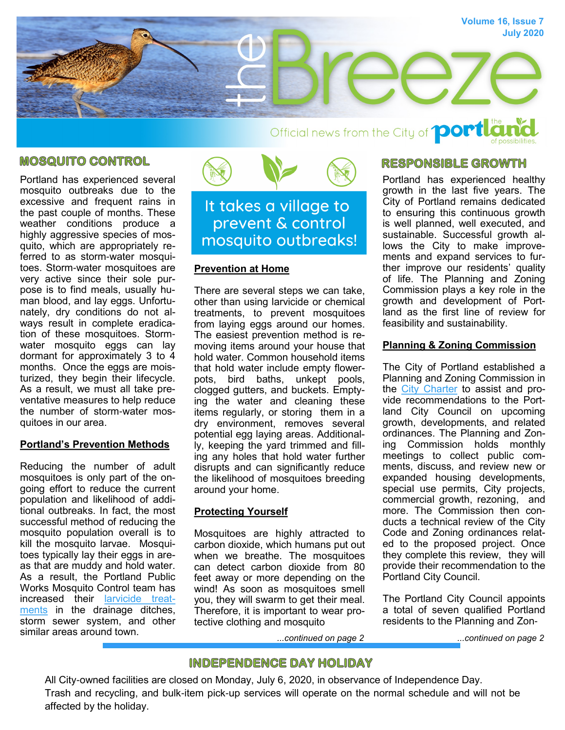

### **MOSQUITO CONTROL**

Portland has experienced several mosquito outbreaks due to the excessive and frequent rains in the past couple of months. These weather conditions produce a highly aggressive species of mosquito, which are appropriately referred to as storm-water mosquitoes. Storm-water mosquitoes are very active since their sole purpose is to find meals, usually human blood, and lay eggs. Unfortunately, dry conditions do not always result in complete eradication of these mosquitoes. Stormwater mosquito eggs can lay dormant for approximately 3 to 4 months. Once the eggs are moisturized, they begin their lifecycle. As a result, we must all take preventative measures to help reduce the number of storm-water mosquitoes in our area.

#### **Portland's Prevention Methods**

Reducing the number of adult mosquitoes is only part of the ongoing effort to reduce the current population and likelihood of additional outbreaks. In fact, the most successful method of reducing the mosquito population overall is to kill the mosquito larvae. Mosquitoes typically lay their eggs in areas that are muddy and hold water. As a result, the Portland Public Works Mosquito Control team has increased their [larvicide treat](http://www.portlandtx.com/564/Larvicide)[ments](http://www.portlandtx.com/564/Larvicide) in the drainage ditches, storm sewer system, and other similar areas around town.



It takes a village to prevent & control mosquito outbreaks!

#### **Prevention at Home**

There are several steps we can take, other than using larvicide or chemical treatments, to prevent mosquitoes from laying eggs around our homes. The easiest prevention method is removing items around your house that hold water. Common household items that hold water include empty flowerpots, bird baths, unkept pools, clogged gutters, and buckets. Emptying the water and cleaning these items regularly, or storing them in a dry environment, removes several potential egg laying areas. Additionally, keeping the yard trimmed and filling any holes that hold water further disrupts and can significantly reduce the likelihood of mosquitoes breeding around your home.

#### **Protecting Yourself**

Mosquitoes are highly attracted to carbon dioxide, which humans put out when we breathe. The mosquitoes can detect carbon dioxide from 80 feet away or more depending on the wind! As soon as mosquitoes smell you, they will swarm to get their meal. Therefore, it is important to wear protective clothing and mosquito

### **RESPONSIBLE GROWTH**

Portland has experienced healthy growth in the last five years. The City of Portland remains dedicated to ensuring this continuous growth is well planned, well executed, and sustainable. Successful growth allows the City to make improvements and expand services to further improve our residents' quality of life. The Planning and Zoning Commission plays a key role in the growth and development of Portland as the first line of review for feasibility and sustainability.

#### **Planning & Zoning Commission**

The City of Portland established a Planning and Zoning Commission in the [City Charter](https://library.municode.com/tx/portland/codes/code_of_ordinances?nodeId=COORPOTE) to assist and provide recommendations to the Portland City Council on upcoming growth, developments, and related ordinances. The Planning and Zoning Commission holds monthly meetings to collect public comments, discuss, and review new or expanded housing developments, special use permits, City projects, commercial growth, rezoning, and more. The Commission then conducts a technical review of the City Code and Zoning ordinances related to the proposed project. Once they complete this review, they will provide their recommendation to the Portland City Council.

The Portland City Council appoints a total of seven qualified Portland residents to the Planning and Zon-

*...continued on page 2*

*...continued on page 2*

**INDEPENDENCE DAY HOLIDAY** 

All City-owned facilities are closed on Monday, July 6, 2020, in observance of Independence Day. Trash and recycling, and bulk-item pick-up services will operate on the normal schedule and will not be affected by the holiday.